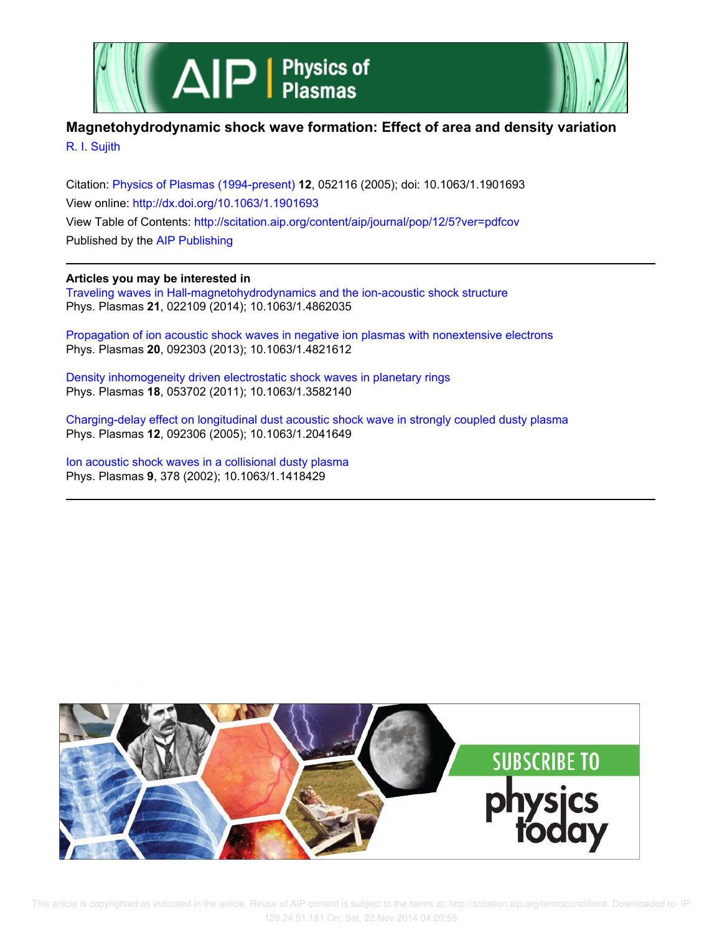



# **Magnetohydrodynamic shock wave formation: Effect of area and density variation**

R. I. Sujith

Citation: Physics of Plasmas (1994-present) **12**, 052116 (2005); doi: 10.1063/1.1901693 View online: http://dx.doi.org/10.1063/1.1901693 View Table of Contents: http://scitation.aip.org/content/aip/journal/pop/12/5?ver=pdfcov Published by the AIP Publishing

## **Articles you may be interested in**

Traveling waves in Hall-magnetohydrodynamics and the ion-acoustic shock structure Phys. Plasmas **21**, 022109 (2014); 10.1063/1.4862035

Propagation of ion acoustic shock waves in negative ion plasmas with nonextensive electrons Phys. Plasmas **20**, 092303 (2013); 10.1063/1.4821612

Density inhomogeneity driven electrostatic shock waves in planetary rings Phys. Plasmas **18**, 053702 (2011); 10.1063/1.3582140

Charging-delay effect on longitudinal dust acoustic shock wave in strongly coupled dusty plasma Phys. Plasmas **12**, 092306 (2005); 10.1063/1.2041649

Ion acoustic shock waves in a collisional dusty plasma Phys. Plasmas **9**, 378 (2002); 10.1063/1.1418429

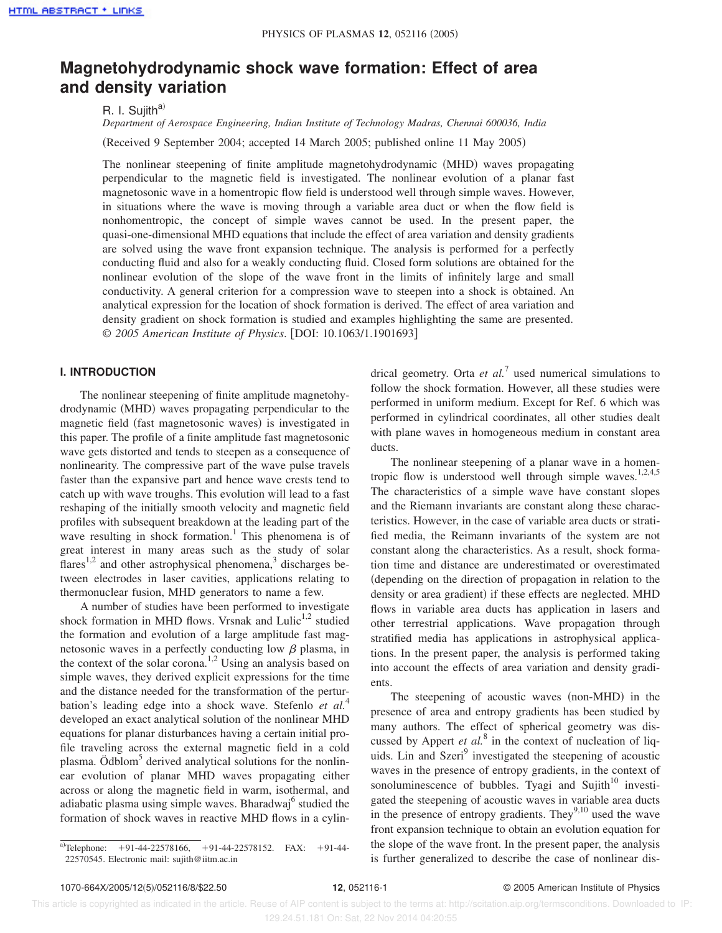# **Magnetohydrodynamic shock wave formation: Effect of area and density variation**

R. I. Sujith<sup>a)</sup>

*Department of Aerospace Engineering, Indian Institute of Technology Madras, Chennai 600036, India*

(Received 9 September 2004; accepted 14 March 2005; published online 11 May 2005)

The nonlinear steepening of finite amplitude magnetohydrodynamic (MHD) waves propagating perpendicular to the magnetic field is investigated. The nonlinear evolution of a planar fast magnetosonic wave in a homentropic flow field is understood well through simple waves. However, in situations where the wave is moving through a variable area duct or when the flow field is nonhomentropic, the concept of simple waves cannot be used. In the present paper, the quasi-one-dimensional MHD equations that include the effect of area variation and density gradients are solved using the wave front expansion technique. The analysis is performed for a perfectly conducting fluid and also for a weakly conducting fluid. Closed form solutions are obtained for the nonlinear evolution of the slope of the wave front in the limits of infinitely large and small conductivity. A general criterion for a compression wave to steepen into a shock is obtained. An analytical expression for the location of shock formation is derived. The effect of area variation and density gradient on shock formation is studied and examples highlighting the same are presented. © 2005 American Institute of Physics. [DOI: 10.1063/1.1901693]

## **I. INTRODUCTION**

The nonlinear steepening of finite amplitude magnetohydrodynamic (MHD) waves propagating perpendicular to the magnetic field (fast magnetosonic waves) is investigated in this paper. The profile of a finite amplitude fast magnetosonic wave gets distorted and tends to steepen as a consequence of nonlinearity. The compressive part of the wave pulse travels faster than the expansive part and hence wave crests tend to catch up with wave troughs. This evolution will lead to a fast reshaping of the initially smooth velocity and magnetic field profiles with subsequent breakdown at the leading part of the wave resulting in shock formation.<sup>1</sup> This phenomena is of great interest in many areas such as the study of solar flares<sup>1,2</sup> and other astrophysical phenomena,<sup>3</sup> discharges between electrodes in laser cavities, applications relating to thermonuclear fusion, MHD generators to name a few.

A number of studies have been performed to investigate shock formation in MHD flows. Vrsnak and Lulic<sup>1,2</sup> studied the formation and evolution of a large amplitude fast magnetosonic waves in a perfectly conducting low  $\beta$  plasma, in the context of the solar corona.<sup>1,2</sup> Using an analysis based on simple waves, they derived explicit expressions for the time and the distance needed for the transformation of the perturbation's leading edge into a shock wave. Stefenlo *et al.*<sup>4</sup> developed an exact analytical solution of the nonlinear MHD equations for planar disturbances having a certain initial profile traveling across the external magnetic field in a cold plasma. Ödblom<sup>5</sup> derived analytical solutions for the nonlinear evolution of planar MHD waves propagating either across or along the magnetic field in warm, isothermal, and adiabatic plasma using simple waves. Bharadwaj<sup>6</sup> studied the formation of shock waves in reactive MHD flows in a cylin-

a)Telephone: +91-44-22578166, +91-44-22578152. FAX: +91-44-22570545. Electronic mail: sujith@iitm.ac.in

drical geometry. Orta *et al.*<sup>7</sup> used numerical simulations to follow the shock formation. However, all these studies were performed in uniform medium. Except for Ref. 6 which was performed in cylindrical coordinates, all other studies dealt with plane waves in homogeneous medium in constant area ducts.

The nonlinear steepening of a planar wave in a homentropic flow is understood well through simple waves.<sup>1,2,4,5</sup> The characteristics of a simple wave have constant slopes and the Riemann invariants are constant along these characteristics. However, in the case of variable area ducts or stratified media, the Reimann invariants of the system are not constant along the characteristics. As a result, shock formation time and distance are underestimated or overestimated (depending on the direction of propagation in relation to the density or area gradient) if these effects are neglected. MHD flows in variable area ducts has application in lasers and other terrestrial applications. Wave propagation through stratified media has applications in astrophysical applications. In the present paper, the analysis is performed taking into account the effects of area variation and density gradients.

The steepening of acoustic waves (non-MHD) in the presence of area and entropy gradients has been studied by many authors. The effect of spherical geometry was discussed by Appert *et al.*<sup>8</sup> in the context of nucleation of liquids. Lin and Szeri<sup>9</sup> investigated the steepening of acoustic waves in the presence of entropy gradients, in the context of sonoluminescence of bubbles. Tyagi and Sujith $10$  investigated the steepening of acoustic waves in variable area ducts in the presence of entropy gradients. They<sup>9,10</sup> used the wave front expansion technique to obtain an evolution equation for the slope of the wave front. In the present paper, the analysis is further generalized to describe the case of nonlinear dis-

 This article is copyrighted as indicated in the article. Reuse of AIP content is subject to the terms at: http://scitation.aip.org/termsconditions. Downloaded to IP: 129.24.51.181 On: Sat, 22 Nov 2014 04:20:55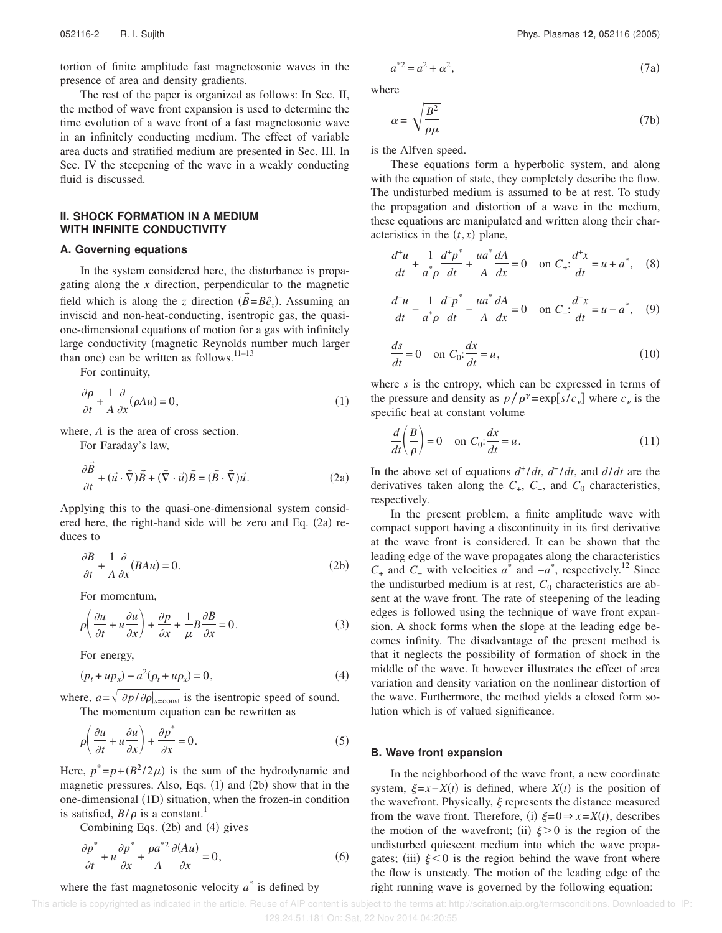tortion of finite amplitude fast magnetosonic waves in the presence of area and density gradients.

The rest of the paper is organized as follows: In Sec. II, the method of wave front expansion is used to determine the time evolution of a wave front of a fast magnetosonic wave in an infinitely conducting medium. The effect of variable area ducts and stratified medium are presented in Sec. III. In Sec. IV the steepening of the wave in a weakly conducting fluid is discussed.

## **II. SHOCK FORMATION IN A MEDIUM WITH INFINITE CONDUCTIVITY**

#### **A. Governing equations**

In the system considered here, the disturbance is propagating along the *x* direction, perpendicular to the magnetic field which is along the *z* direction  $(\vec{B} = B\hat{e}_z)$ . Assuming an inviscid and non-heat-conducting, isentropic gas, the quasione-dimensional equations of motion for a gas with infinitely large conductivity (magnetic Reynolds number much larger than one) can be written as follows. $11-13$ 

For continuity,

$$
\frac{\partial \rho}{\partial t} + \frac{1}{A} \frac{\partial}{\partial x} (\rho A u) = 0, \tag{1}
$$

where, *A* is the area of cross section.

For Faraday's law,

$$
\frac{\partial \vec{B}}{\partial t} + (\vec{u} \cdot \vec{\nabla}) \vec{B} + (\vec{\nabla} \cdot \vec{u}) \vec{B} = (\vec{B} \cdot \vec{\nabla}) \vec{u}.
$$
 (2a)

Applying this to the quasi-one-dimensional system considered here, the right-hand side will be zero and Eq.  $(2a)$  reduces to

$$
\frac{\partial B}{\partial t} + \frac{1}{A} \frac{\partial}{\partial x} (BAu) = 0.
$$
 (2b)

For momentum,

$$
\rho \left( \frac{\partial u}{\partial t} + u \frac{\partial u}{\partial x} \right) + \frac{\partial p}{\partial x} + \frac{1}{\mu} B \frac{\partial B}{\partial x} = 0.
$$
\n(3)

For energy,

$$
(p_t + up_x) - a^2(p_t + up_x) = 0,
$$
\n(4)

where,  $a = \sqrt{\frac{\partial p}{\partial \rho}}_{s=\text{const}}$  is the isentropic speed of sound. The momentum equation can be rewritten as

$$
\rho \left( \frac{\partial u}{\partial t} + u \frac{\partial u}{\partial x} \right) + \frac{\partial p^*}{\partial x} = 0.
$$
\n(5)

Here,  $p^* = p + (B^2/2\mu)$  is the sum of the hydrodynamic and magnetic pressures. Also, Eqs.  $(1)$  and  $(2b)$  show that in the one-dimensional  $(1D)$  situation, when the frozen-in condition is satisfied,  $B/\rho$  is a constant.<sup>1</sup>

Combining Eqs.  $(2b)$  and  $(4)$  gives

$$
\frac{\partial p^*}{\partial t} + u \frac{\partial p^*}{\partial x} + \frac{\rho a^{*2}}{A} \frac{\partial (Au)}{\partial x} = 0,\tag{6}
$$

## where the fast magnetosonic velocity  $a^*$  is defined by

$$
a^{*2} = a^2 + \alpha^2,\tag{7a}
$$

where

$$
\alpha = \sqrt{\frac{B^2}{\rho \mu}}\tag{7b}
$$

is the Alfven speed.

These equations form a hyperbolic system, and along with the equation of state, they completely describe the flow. The undisturbed medium is assumed to be at rest. To study the propagation and distortion of a wave in the medium, these equations are manipulated and written along their characteristics in the  $(t, x)$  plane,

$$
\frac{d^+u}{dt} + \frac{1}{a^* \rho} \frac{d^+ p^*}{dt} + \frac{ua^*}{A} \frac{dA}{dx} = 0 \quad \text{on } C_+ : \frac{d^+ x}{dt} = u + a^*, \quad (8)
$$

$$
\frac{d^2u}{dt} - \frac{1}{a^* \rho} \frac{d^2p^*}{dt} - \frac{ua^*}{A} \frac{dA}{dx} = 0 \quad \text{on } C_-: \frac{d^2x}{dt} = u - a^*, \quad (9)
$$

$$
\frac{ds}{dt} = 0 \quad \text{on } C_0: \frac{dx}{dt} = u,
$$
\n(10)

where *s* is the entropy, which can be expressed in terms of the pressure and density as  $p / \rho^{\gamma} = \exp[s/c_v]$  where  $c_v$  is the specific heat at constant volume

$$
\frac{d}{dt}\left(\frac{B}{\rho}\right) = 0 \quad \text{on } C_0: \frac{dx}{dt} = u.
$$
\n(11)

In the above set of equations  $d^+ / dt$ ,  $d^- / dt$ , and  $d / dt$  are the derivatives taken along the  $C_+$ ,  $C_-$ , and  $C_0$  characteristics, respectively.

In the present problem, a finite amplitude wave with compact support having a discontinuity in its first derivative at the wave front is considered. It can be shown that the leading edge of the wave propagates along the characteristics  $C_+$  and  $C_-$  with velocities  $a^*$  and  $-a^*$ , respectively.<sup>12</sup> Since the undisturbed medium is at rest,  $C_0$  characteristics are absent at the wave front. The rate of steepening of the leading edges is followed using the technique of wave front expansion. A shock forms when the slope at the leading edge becomes infinity. The disadvantage of the present method is that it neglects the possibility of formation of shock in the middle of the wave. It however illustrates the effect of area variation and density variation on the nonlinear distortion of the wave. Furthermore, the method yields a closed form solution which is of valued significance.

#### **B. Wave front expansion**

In the neighborhood of the wave front, a new coordinate system,  $\xi = x - X(t)$  is defined, where  $X(t)$  is the position of the wavefront. Physically,  $\xi$  represents the distance measured from the wave front. Therefore, (i)  $\xi=0$   $\Rightarrow$   $x=X(t)$ , describes the motion of the wavefront; (ii)  $\xi>0$  is the region of the undisturbed quiescent medium into which the wave propagates; (iii)  $\xi$ <0 is the region behind the wave front where the flow is unsteady. The motion of the leading edge of the right running wave is governed by the following equation: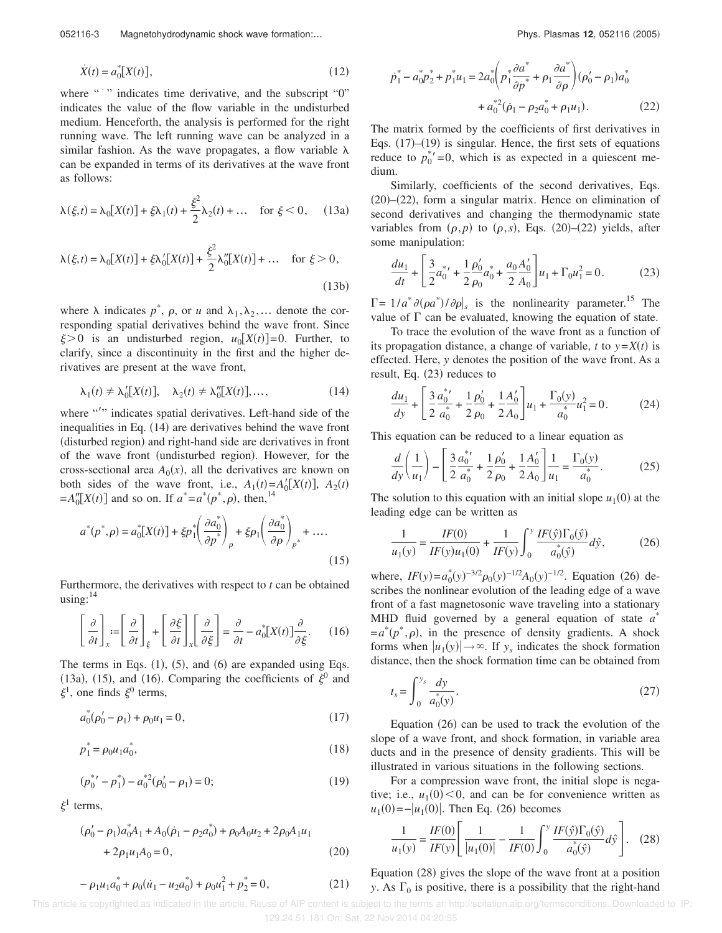052116-3 Magnetohydrodynamic shock wave formation:...<br> **Phys. Plasmas 12**, 052116 (2005)

$$
\dot{X}(t) = a_0^*[X(t)],
$$
\n(12)

where "" indicates time derivative, and the subscript "0" indicates the value of the flow variable in the undisturbed medium. Henceforth, the analysis is performed for the right running wave. The left running wave can be analyzed in a similar fashion. As the wave propagates, a flow variable  $\lambda$ can be expanded in terms of its derivatives at the wave front as follows:

$$
\lambda(\xi, t) = \lambda_0[X(t)] + \xi \lambda_1(t) + \frac{\xi^2}{2} \lambda_2(t) + \dots \quad \text{for } \xi < 0,\tag{13a}
$$

$$
\lambda(\xi, t) = \lambda_0[X(t)] + \xi \lambda'_0[X(t)] + \frac{\xi^2}{2} \lambda''_0[X(t)] + \dots \text{ for } \xi > 0,
$$
\n(13b)

where  $\lambda$  indicates  $p^*$ ,  $\rho$ , or *u* and  $\lambda_1, \lambda_2, \dots$  denote the corresponding spatial derivatives behind the wave front. Since  $\xi > 0$  is an undisturbed region,  $u_0[X(t)] = 0$ . Further, to clarify, since a discontinuity in the first and the higher derivatives are present at the wave front,

$$
\lambda_1(t) \neq \lambda'_0[X(t)], \quad \lambda_2(t) \neq \lambda''_0[X(t)], \dots,
$$
\n(14)

where "" indicates spatial derivatives. Left-hand side of the inequalities in Eq.  $(14)$  are derivatives behind the wave front (disturbed region) and right-hand side are derivatives in front of the wave front (undisturbed region). However, for the cross-sectional area  $A_0(x)$ , all the derivatives are known on both sides of the wave front, i.e.,  $A_1(t) = A_0[X(t)]$ ,  $A_2(t)$  $=A_0''[X(t)]$  and so on. If  $a^* = a^*(p^*, \rho)$ , then,<sup>14</sup>

$$
a^*(p^*, \rho) = a_0^*[X(t)] + \xi p_1^* \left(\frac{\partial a_0^*}{\partial p^*}\right)_{\rho} + \xi p_1 \left(\frac{\partial a_0^*}{\partial \rho}\right)_{p^*} + \dots
$$
\n(15)

Furthermore, the derivatives with respect to *t* can be obtained using: $14$ 

$$
\left[\frac{\partial}{\partial t}\right]_{x} = \left[\frac{\partial}{\partial t}\right]_{\xi} + \left[\frac{\partial \xi}{\partial t}\right]_{x} \left[\frac{\partial}{\partial \xi}\right] = \frac{\partial}{\partial t} - a_0^* [X(t)] \frac{\partial}{\partial \xi}.
$$
 (16)

The terms in Eqs.  $(1)$ ,  $(5)$ , and  $(6)$  are expanded using Eqs. (13a), (15), and (16). Comparing the coefficients of  $\xi^0$  and  $\xi^1$ , one finds  $\xi^0$  terms,

$$
a_0^*(\rho'_0 - \rho_1) + \rho_0 u_1 = 0,\t\t(17)
$$

$$
p_1^* = \rho_0 u_1 a_0^*,\tag{18}
$$

$$
(p_0^* - p_1^*) - a_0^*^2 (\rho_0' - \rho_1) = 0; \tag{19}
$$

 $\xi^1$ terms,

$$
(\rho_0' - \rho_1) a_0^* A_1 + A_0 (\dot{\rho}_1 - \rho_2 a_0^*) + \rho_0 A_0 u_2 + 2 \rho_0 A_1 u_1 + 2 \rho_1 u_1 A_0 = 0,
$$
\n(20)

$$
-\rho_1 u_1 a_0^* + \rho_0 (\dot{u}_1 - u_2 a_0^*) + \rho_0 u_1^2 + p_2^* = 0, \qquad (21)
$$

$$
\dot{p}_1^* - a_0^* p_2^* + p_1^* u_1 = 2a_0^* \left( p_1^* \frac{\partial a^*}{\partial p^*} + \rho_1 \frac{\partial a^*}{\partial \rho} \right) (\rho_0' - \rho_1) a_0^* + a_0^*^2 (\rho_1 - \rho_2 a_0^* + \rho_1 u_1).
$$
\n(22)

The matrix formed by the coefficients of first derivatives in Eqs.  $(17)$ – $(19)$  is singular. Hence, the first sets of equations reduce to  $p_0^*$  = 0, which is as expected in a quiescent medium.

Similarly, coefficients of the second derivatives, Eqs.  $(20)$ – $(22)$ , form a singular matrix. Hence on elimination of second derivatives and changing the thermodynamic state variables from  $(\rho, p)$  to  $(\rho, s)$ , Eqs. (20)–(22) yields, after some manipulation:

$$
\frac{du_1}{dt} + \left[\frac{3}{2}a_0^{\ast\prime} + \frac{1}{2}\frac{\rho'_0}{\rho_0}a_0^{\ast} + \frac{a_0A'_0}{2A_0}\right]u_1 + \Gamma_0u_1^2 = 0.
$$
 (23)

 $\Gamma = 1/a^* \partial (\rho a^*) / \partial \rho \vert_s$  is the nonlinearity parameter.<sup>15</sup> The value of  $\Gamma$  can be evaluated, knowing the equation of state.

To trace the evolution of the wave front as a function of its propagation distance, a change of variable, *t* to  $y = X(t)$  is effected. Here, *y* denotes the position of the wave front. As a result, Eq.  $(23)$  reduces to

$$
\frac{du_1}{dy} + \left[ \frac{3}{2} \frac{a_0^{*}}{a_0^{*}} + \frac{1}{2} \frac{\rho_0'}{\rho_0} + \frac{1}{2} \frac{A_0'}{A_0} \right] u_1 + \frac{\Gamma_0(y)}{a_0^{*}} u_1^2 = 0.
$$
 (24)

This equation can be reduced to a linear equation as

$$
\frac{d}{dy}\left(\frac{1}{u_1}\right) - \left[\frac{3}{2}\frac{a_0^{*}}{a_0^{*}} + \frac{1}{2}\frac{\rho_0'}{\rho_0} + \frac{1}{2}\frac{A_0'}{A_0}\right]\frac{1}{u_1} = \frac{\Gamma_0(y)}{a_0^{*}}.
$$
\n(25)

The solution to this equation with an initial slope  $u_1(0)$  at the leading edge can be written as

$$
\frac{1}{u_1(y)} = \frac{IF(0)}{IF(y)u_1(0)} + \frac{1}{IF(y)} \int_0^y \frac{IF(\hat{y})\Gamma_0(\hat{y})}{a_0^*(\hat{y})} d\hat{y},
$$
(26)

where,  $IF(y) = a_0^*(y)^{-3/2} \rho_0(y)^{-1/2} A_0(y)^{-1/2}$ . Equation (26) describes the nonlinear evolution of the leading edge of a wave front of a fast magnetosonic wave traveling into a stationary MHD fluid governed by a general equation of state *a* \*  $=a^*(p^*, \rho)$ , in the presence of density gradients. A shock forms when  $|u_1(y)| \to \infty$ . If  $y_s$  indicates the shock formation distance, then the shock formation time can be obtained from

$$
t_s = \int_0^{y_s} \frac{dy}{a_0^*(y)}.\tag{27}
$$

Equation  $(26)$  can be used to track the evolution of the slope of a wave front, and shock formation, in variable area ducts and in the presence of density gradients. This will be illustrated in various situations in the following sections.

For a compression wave front, the initial slope is negative; i.e.,  $u_1(0) < 0$ , and can be for convenience written as  $u_1(0) = -|u_1(0)|$ . Then Eq. (26) becomes

$$
\frac{1}{u_1(y)} = \frac{IF(0)}{IF(y)} \left[ \frac{1}{|u_1(0)|} - \frac{1}{IF(0)} \int_0^y \frac{IF(\hat{y}) \Gamma_0(\hat{y})}{a_0^*(\hat{y})} d\hat{y} \right].
$$
 (28)

Equation  $(28)$  gives the slope of the wave front at a position *y*. As  $\Gamma_0$  is positive, there is a possibility that the right-hand

 This article is copyrighted as indicated in the article. Reuse of AIP content is subject to the terms at: http://scitation.aip.org/termsconditions. Downloaded to IP: 129.24.51.181 On: Sat, 22 Nov 2014 04:20:55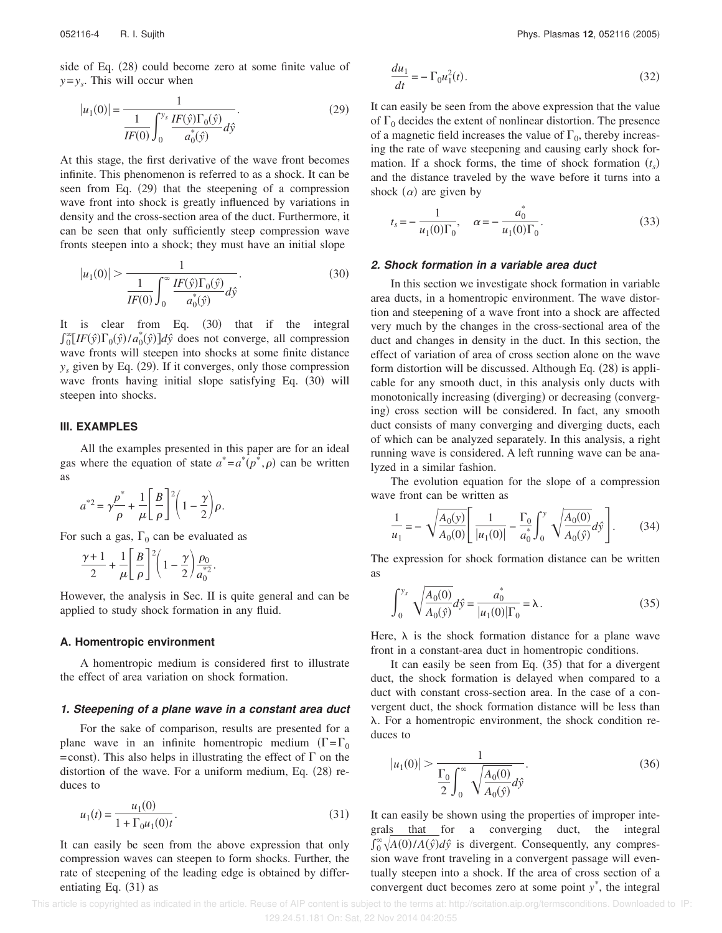side of Eq.  $(28)$  could become zero at some finite value of *y*=*y<sup>s</sup>* . This will occur when

$$
|u_1(0)| = \frac{1}{\frac{1}{IF(0)} \int_0^{y_s} \frac{IF(\hat{y}) \Gamma_0(\hat{y})}{a_0^*(\hat{y})} d\hat{y}}.
$$
 (29)

At this stage, the first derivative of the wave front becomes infinite. This phenomenon is referred to as a shock. It can be seen from Eq.  $(29)$  that the steepening of a compression wave front into shock is greatly influenced by variations in density and the cross-section area of the duct. Furthermore, it can be seen that only sufficiently steep compression wave fronts steepen into a shock; they must have an initial slope

$$
|u_1(0)| > \frac{1}{\frac{1}{IF(0)} \int_0^\infty \frac{IF(\hat{y}) \Gamma_0(\hat{y})}{a_0^*(\hat{y})} d\hat{y}}.
$$
\n(30)

It is clear from Eq.  $(30)$  that if the integral  $\int_0^{\infty} [IF(\hat{y}) \Gamma_0(\hat{y}) / a_0^*(\hat{y})] d\hat{y}$  does not converge, all compression wave fronts will steepen into shocks at some finite distance  $y<sub>s</sub>$  given by Eq. (29). If it converges, only those compression wave fronts having initial slope satisfying Eq. (30) will steepen into shocks.

## **III. EXAMPLES**

All the examples presented in this paper are for an ideal gas where the equation of state  $a^* = a^*(p^*, \rho)$  can be written as

$$
a^{*2} = \gamma \frac{p^*}{\rho} + \frac{1}{\mu} \left[ \frac{B}{\rho} \right]^2 \left( 1 - \frac{\gamma}{2} \right) \rho.
$$

For such a gas,  $\Gamma_0$  can be evaluated as

$$
\frac{\gamma+1}{2} + \frac{1}{\mu} \left[ \frac{B}{\rho} \right]^2 \left( 1 - \frac{\gamma}{2} \right) \frac{\rho_0}{a_0^{*2}}.
$$

However, the analysis in Sec. II is quite general and can be applied to study shock formation in any fluid.

#### **A. Homentropic environment**

A homentropic medium is considered first to illustrate the effect of area variation on shock formation.

#### **1. Steepening of <sup>a</sup> plane wave in <sup>a</sup> constant area duct**

For the sake of comparison, results are presented for a plane wave in an infinite homentropic medium ( $\Gamma = \Gamma_0$ ) =const). This also helps in illustrating the effect of  $\Gamma$  on the distortion of the wave. For a uniform medium, Eq.  $(28)$  reduces to

$$
u_1(t) = \frac{u_1(0)}{1 + \Gamma_0 u_1(0)t}.
$$
\n(31)

It can easily be seen from the above expression that only compression waves can steepen to form shocks. Further, the rate of steepening of the leading edge is obtained by differentiating Eq.  $(31)$  as

$$
\frac{du_1}{dt} = -\Gamma_0 u_1^2(t).
$$
 (32)

It can easily be seen from the above expression that the value of  $\Gamma_0$  decides the extent of nonlinear distortion. The presence of a magnetic field increases the value of  $\Gamma_0$ , thereby increasing the rate of wave steepening and causing early shock formation. If a shock forms, the time of shock formation  $(t_s)$ and the distance traveled by the wave before it turns into a shock  $(\alpha)$  are given by

$$
t_s = -\frac{1}{u_1(0)\Gamma_0}, \quad \alpha = -\frac{a_0^*}{u_1(0)\Gamma_0}.
$$
 (33)

#### **2. Shock formation in <sup>a</sup> variable area duct**

In this section we investigate shock formation in variable area ducts, in a homentropic environment. The wave distortion and steepening of a wave front into a shock are affected very much by the changes in the cross-sectional area of the duct and changes in density in the duct. In this section, the effect of variation of area of cross section alone on the wave form distortion will be discussed. Although Eq.  $(28)$  is applicable for any smooth duct, in this analysis only ducts with monotonically increasing (diverging) or decreasing (converging) cross section will be considered. In fact, any smooth duct consists of many converging and diverging ducts, each of which can be analyzed separately. In this analysis, a right running wave is considered. A left running wave can be analyzed in a similar fashion.

The evolution equation for the slope of a compression wave front can be written as

$$
\frac{1}{u_1} = -\sqrt{\frac{A_0(y)}{A_0(0)}} \left[ \frac{1}{|u_1(0)|} - \frac{\Gamma_0}{a_0^*} \int_0^y \sqrt{\frac{A_0(0)}{A_0(\hat{y})}} d\hat{y} \right].
$$
 (34)

The expression for shock formation distance can be written as

$$
\int_0^{y_s} \sqrt{\frac{A_0(0)}{A_0(\hat{y})}} d\hat{y} = \frac{a_0^*}{|u_1(0)|\Gamma_0} = \lambda.
$$
 (35)

Here,  $\lambda$  is the shock formation distance for a plane wave front in a constant-area duct in homentropic conditions.

It can easily be seen from Eq.  $(35)$  that for a divergent duct, the shock formation is delayed when compared to a duct with constant cross-section area. In the case of a convergent duct, the shock formation distance will be less than  $\lambda$ . For a homentropic environment, the shock condition reduces to

$$
|u_1(0)| > \frac{1}{\frac{\Gamma_0}{2} \int_0^\infty \sqrt{\frac{A_0(0)}{A_0(\hat{y})}} d\hat{y}}.
$$
\n(36)

It can easily be shown using the properties of improper integrals that for a converging duct, the integral  $\int_0^\infty \sqrt{A(0)/A(\hat{y})}d\hat{y}$  is divergent. Consequently, any compression wave front traveling in a convergent passage will eventually steepen into a shock. If the area of cross section of a convergent duct becomes zero at some point *y* \* , the integral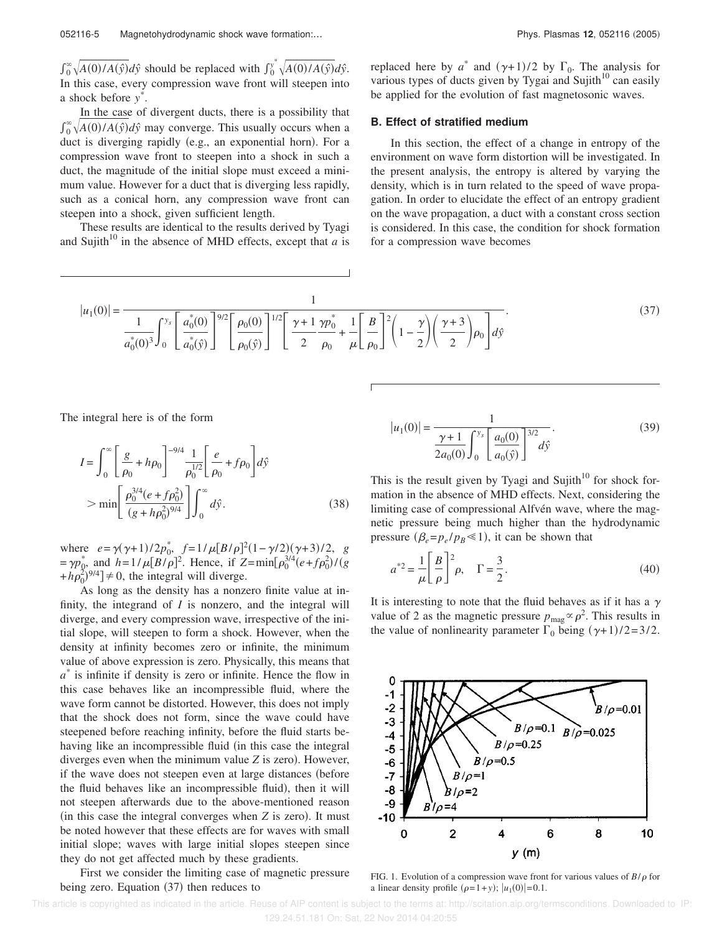$\int_0^{\infty} \sqrt{A(0)/A(\hat{y})} d\hat{y}$  should be replaced with  $\int_0^{\hat{y}} \sqrt{A(0)/A(\hat{y})} d\hat{y}$ . In this case, every compression wave front will steepen into a shock before *y* \* .

In the case of divergent ducts, there is a possibility that  $\int_0^\infty \sqrt{A(0)/A(\hat{y})}d\hat{y}$  may converge. This usually occurs when a duct is diverging rapidly (e.g., an exponential horn). For a compression wave front to steepen into a shock in such a duct, the magnitude of the initial slope must exceed a minimum value. However for a duct that is diverging less rapidly, such as a conical horn, any compression wave front can steepen into a shock, given sufficient length.

These results are identical to the results derived by Tyagi and Sujith<sup>10</sup> in the absence of MHD effects, except that  $a$  is

replaced here by  $a^*$  and  $(\gamma+1)/2$  by  $\Gamma_0$ . The analysis for various types of ducts given by Tygai and Sujith $10$  can easily be applied for the evolution of fast magnetosonic waves.

## **B. Effect of stratified medium**

In this section, the effect of a change in entropy of the environment on wave form distortion will be investigated. In the present analysis, the entropy is altered by varying the density, which is in turn related to the speed of wave propagation. In order to elucidate the effect of an entropy gradient on the wave propagation, a duct with a constant cross section is considered. In this case, the condition for shock formation for a compression wave becomes

$$
|u_1(0)| = \frac{1}{\frac{1}{a_0^*(0)^3} \int_0^{y_s} \left[ \frac{a_0^*(0)}{a_0^*(\hat{y})} \right]^{9/2} \left[ \frac{\rho_0(0)}{\rho_0(\hat{y})} \right]^{1/2} \left[ \frac{\gamma + 1}{2} \frac{\gamma p_0^*}{\rho_0} + \frac{1}{\mu} \left[ \frac{B}{\rho_0} \right]^2 \left( 1 - \frac{\gamma}{2} \right) \left( \frac{\gamma + 3}{2} \right) \rho_0 \right] d\hat{y}}.
$$
\n(37)

The integral here is of the form

$$
I = \int_0^\infty \left[ \frac{g}{\rho_0} + h \rho_0 \right]^{-9/4} \frac{1}{\rho_0^{1/2}} \left[ \frac{e}{\rho_0} + f \rho_0 \right] d\hat{y}
$$
  
> min  $\left[ \frac{\rho_0^{3/4} (e + f \rho_0^2)}{(g + h \rho_0^2)^{9/4}} \right] \int_0^\infty d\hat{y}.$  (38)

where  $e = \gamma(\gamma + 1)/2p_0^*$ ,  $f = 1/\mu[B/\rho]^2(1 - \gamma/2)(\gamma + 3)/2$ , *g*  $=\gamma p_0^*$ , and  $h=1/\mu [B/\rho]^2$ . Hence, if  $Z = \min[\rho_0^{3/4}(e+f\rho_0^2)/(g$  $+h\rho_0^2$ <sup>9/4</sup>]  $\neq$  0, the integral will diverge.

As long as the density has a nonzero finite value at infinity, the integrand of *I* is nonzero, and the integral will diverge, and every compression wave, irrespective of the initial slope, will steepen to form a shock. However, when the density at infinity becomes zero or infinite, the minimum value of above expression is zero. Physically, this means that  $a^*$  is infinite if density is zero or infinite. Hence the flow in this case behaves like an incompressible fluid, where the wave form cannot be distorted. However, this does not imply that the shock does not form, since the wave could have steepened before reaching infinity, before the fluid starts behaving like an incompressible fluid (in this case the integral diverges even when the minimum value  $Z$  is zero). However, if the wave does not steepen even at large distances (before the fluid behaves like an incompressible fluid), then it will not steepen afterwards due to the above-mentioned reason  $\sin$  this case the integral converges when *Z* is zero. It must be noted however that these effects are for waves with small initial slope; waves with large initial slopes steepen since they do not get affected much by these gradients.

First we consider the limiting case of magnetic pressure being zero. Equation  $(37)$  then reduces to

$$
|u_1(0)| = \frac{1}{\frac{\gamma + 1}{2a_0(0)} \int_0^{y_s} \left[ \frac{a_0(0)}{a_0(\hat{y})} \right]^{3/2} d\hat{y}}.
$$
 (39)

This is the result given by Tyagi and Sujith<sup>10</sup> for shock formation in the absence of MHD effects. Next, considering the limiting case of compressional Alfvén wave, where the magnetic pressure being much higher than the hydrodynamic pressure  $(\beta_e = p_e / p_B \ll 1)$ , it can be shown that

$$
a^{*2} = \frac{1}{\mu} \left[ \frac{B}{\rho} \right]^2 \rho, \quad \Gamma = \frac{3}{2}.
$$
 (40)

It is interesting to note that the fluid behaves as if it has a  $\gamma$ value of 2 as the magnetic pressure  $p_{\text{mag}} \propto \rho^2$ . This results in the value of nonlinearity parameter  $\Gamma_0$  being  $(\gamma+1)/2=3/2$ .



FIG. 1. Evolution of a compression wave front for various values of  $B/\rho$  for a linear density profile  $(\rho=1+y)$ ;  $|u_1(0)|=0.1$ .

This article is copyrighted as indicated in the article. Reuse of AIP content is subject to the terms at: http://scitation.aip.org/termsconditions. Downloaded to IP: 129.24.51.181 On: Sat, 22 Nov 2014 04:20:55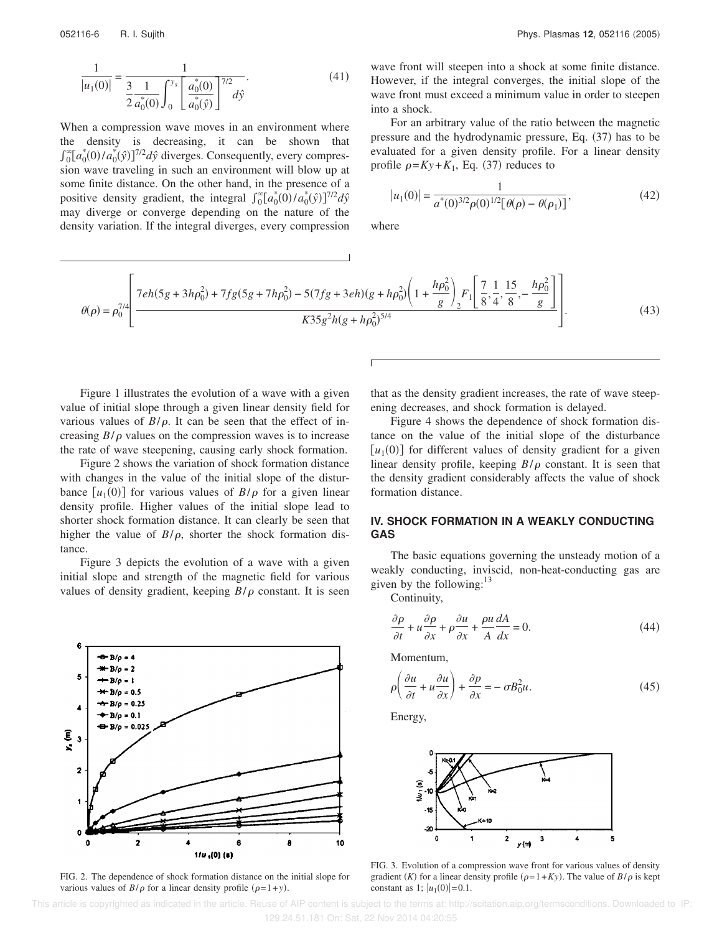$$
\frac{1}{|u_1(0)|} = \frac{1}{\frac{3}{2} \frac{1}{a_0^*(0)} \int_0^{y_s} \left[ \frac{a_0^*(0)}{a_0^*(\hat{y})} \right]^{7/2} d\hat{y}}.
$$
(41)

When a compression wave moves in an environment where the density is decreasing, it can be shown that  $\int_0^{\infty} [a_0^*(0)/a_0^*(\hat{y})]^{7/2} d\hat{y}$  diverges. Consequently, every compression wave traveling in such an environment will blow up at some finite distance. On the other hand, in the presence of a positive density gradient, the integral  $\int_0^{\infty} [a_0^*(0)/a_0^*(\hat{y})]^{1/2} d\hat{y}$ may diverge or converge depending on the nature of the density variation. If the integral diverges, every compression wave front will steepen into a shock at some finite distance. However, if the integral converges, the initial slope of the wave front must exceed a minimum value in order to steepen into a shock.

For an arbitrary value of the ratio between the magnetic pressure and the hydrodynamic pressure, Eq.  $(37)$  has to be evaluated for a given density profile. For a linear density profile  $\rho = Ky + K_1$ , Eq. (37) reduces to

$$
|u_1(0)| = \frac{1}{a^*(0)^{3/2} \rho(0)^{1/2} [\theta(\rho) - \theta(\rho_1)]},
$$
\n(42)

where

$$
\theta(\rho) = \rho_0^{7/4} \left[ \frac{7eh(5g + 3h\rho_0^2) + 7fg(5g + 7h\rho_0^2) - 5(7fg + 3eh)(g + h\rho_0^2)}{K35g^2h(g + h\rho_0^2)^{5/4}} \right] \cdot \tag{43}
$$

Figure 1 illustrates the evolution of a wave with a given value of initial slope through a given linear density field for various values of  $B/\rho$ . It can be seen that the effect of increasing  $B/\rho$  values on the compression waves is to increase the rate of wave steepening, causing early shock formation.

Figure 2 shows the variation of shock formation distance with changes in the value of the initial slope of the disturbance  $[u_1(0)]$  for various values of  $B/\rho$  for a given linear density profile. Higher values of the initial slope lead to shorter shock formation distance. It can clearly be seen that higher the value of  $B/\rho$ , shorter the shock formation distance.

Figure 3 depicts the evolution of a wave with a given initial slope and strength of the magnetic field for various values of density gradient, keeping  $B/\rho$  constant. It is seen



FIG. 2. The dependence of shock formation distance on the initial slope for various values of  $B/\rho$  for a linear density profile  $(\rho=1+\nu)$ .

that as the density gradient increases, the rate of wave steepening decreases, and shock formation is delayed.

Figure 4 shows the dependence of shock formation distance on the value of the initial slope of the disturbance  $[u_1(0)]$  for different values of density gradient for a given linear density profile, keeping  $B/\rho$  constant. It is seen that the density gradient considerably affects the value of shock formation distance.

## **IV. SHOCK FORMATION IN A WEAKLY CONDUCTING GAS**

The basic equations governing the unsteady motion of a weakly conducting, inviscid, non-heat-conducting gas are given by the following:<sup>13</sup>

Continuity,

$$
\frac{\partial \rho}{\partial t} + u \frac{\partial \rho}{\partial x} + \rho \frac{\partial u}{\partial x} + \frac{\rho u}{A} \frac{dA}{dx} = 0.
$$
 (44)

Momentum,

$$
\rho \left( \frac{\partial u}{\partial t} + u \frac{\partial u}{\partial x} \right) + \frac{\partial p}{\partial x} = -\sigma B_0^2 u. \tag{45}
$$

Energy,



FIG. 3. Evolution of a compression wave front for various values of density gradient (*K*) for a linear density profile ( $\rho=1+Ky$ ). The value of *B*/ $\rho$  is kept constant as 1;  $|u_1(0)| = 0.1$ .

 This article is copyrighted as indicated in the article. Reuse of AIP content is subject to the terms at: http://scitation.aip.org/termsconditions. Downloaded to IP: 129.24.51.181 On: Sat, 22 Nov 2014 04:20:55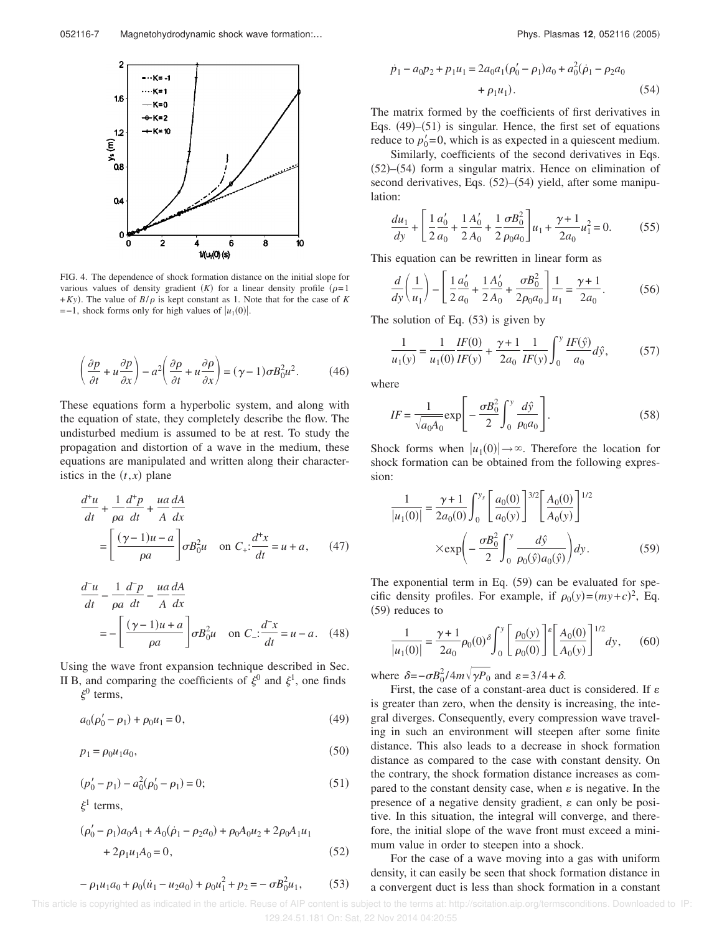

FIG. 4. The dependence of shock formation distance on the initial slope for various values of density gradient  $(K)$  for a linear density profile  $(\rho=1)$  $+Ky$ ). The value of  $B/\rho$  is kept constant as 1. Note that for the case of *K*  $=-1$ , shock forms only for high values of  $|u_1(0)|$ .

$$
\left(\frac{\partial p}{\partial t} + u\frac{\partial p}{\partial x}\right) - a^2 \left(\frac{\partial \rho}{\partial t} + u\frac{\partial \rho}{\partial x}\right) = (\gamma - 1)\sigma B_0^2 u^2.
$$
 (46)

These equations form a hyperbolic system, and along with the equation of state, they completely describe the flow. The undisturbed medium is assumed to be at rest. To study the propagation and distortion of a wave in the medium, these equations are manipulated and written along their characteristics in the  $(t, x)$  plane

$$
\frac{d^+u}{dt} + \frac{1}{\rho a} \frac{d^+p}{dt} + \frac{ua}{A} \frac{dA}{dx}
$$
\n
$$
= \left[ \frac{(\gamma - 1)u - a}{\rho a} \right] \sigma B_0^2 u \quad \text{on } C_+ : \frac{d^+x}{dt} = u + a, \qquad (47)
$$

$$
\frac{d^2u}{dt} - \frac{1}{\rho a} \frac{d^2p}{dt} - \frac{ua}{A} \frac{dA}{dx}
$$
  
= 
$$
- \left[ \frac{(\gamma - 1)u + a}{\rho a} \right] \sigma B_0^2 u \quad \text{on } C_{-}: \frac{d^2x}{dt} = u - a. \quad (48)
$$

Using the wave front expansion technique described in Sec. II B, and comparing the coefficients of  $\xi^0$  and  $\xi^1$ , one finds  $\xi^0$  terms,

$$
a_0(\rho'_0 - \rho_1) + \rho_0 u_1 = 0,\t\t(49)
$$

$$
p_1 = \rho_0 u_1 a_0,\tag{50}
$$

$$
(p'_0 - p_1) - a_0^2(\rho'_0 - \rho_1) = 0;
$$
\n(51)

 $\xi^1$  terms,

$$
(\rho_0' - \rho_1) a_0 A_1 + A_0 (\dot{\rho}_1 - \rho_2 a_0) + \rho_0 A_0 u_2 + 2 \rho_0 A_1 u_1
$$
  
+ 2 \rho\_1 u\_1 A\_0 = 0, (52)

$$
-\rho_1 u_1 a_0 + \rho_0 (\dot{u}_1 - u_2 a_0) + \rho_0 u_1^2 + p_2 = -\sigma B_0^2 u_1,\tag{53}
$$

$$
\dot{p}_1 - a_0 p_2 + p_1 u_1 = 2a_0 a_1 (\rho'_0 - \rho_1) a_0 + a_0^2 (\dot{\rho}_1 - \rho_2 a_0 + \rho_1 u_1).
$$
\n(54)

The matrix formed by the coefficients of first derivatives in Eqs.  $(49)$ – $(51)$  is singular. Hence, the first set of equations reduce to  $p'_0 = 0$ , which is as expected in a quiescent medium.

Similarly, coefficients of the second derivatives in Eqs.  $(52)$ – $(54)$  form a singular matrix. Hence on elimination of second derivatives, Eqs.  $(52)$ – $(54)$  yield, after some manipulation:

$$
\frac{du_1}{dy} + \left[ \frac{1}{2} \frac{a_0'}{a_0} + \frac{1}{2} \frac{A_0'}{A_0} + \frac{1}{2} \frac{\sigma B_0^2}{\rho_0 a_0} \right] u_1 + \frac{\gamma + 1}{2a_0} u_1^2 = 0.
$$
 (55)

This equation can be rewritten in linear form as

$$
\frac{d}{dy}\left(\frac{1}{u_1}\right) - \left[\frac{1}{2}\frac{a'_0}{a_0} + \frac{1}{2}\frac{A'_0}{A_0} + \frac{\sigma B_0^2}{2\rho_0 a_0}\right] \frac{1}{u_1} = \frac{\gamma + 1}{2a_0}.
$$
 (56)

The solution of Eq.  $(53)$  is given by

$$
\frac{1}{u_1(y)} = \frac{1}{u_1(0)} \frac{IF(0)}{IF(y)} + \frac{\gamma + 1}{2a_0} \frac{1}{IF(y)} \int_0^y \frac{IF(\hat{y})}{a_0} d\hat{y},
$$
(57)

where

$$
IF = \frac{1}{\sqrt{a_0 A_0}} \exp\left[ -\frac{\sigma B_0^2}{2} \int_0^y \frac{d\hat{y}}{\rho_0 a_0} \right].
$$
 (58)

Shock forms when  $|u_1(0)| \rightarrow \infty$ . Therefore the location for shock formation can be obtained from the following expression:

$$
\frac{1}{|u_1(0)|} = \frac{\gamma + 1}{2a_0(0)} \int_0^{y_s} \left[ \frac{a_0(0)}{a_0(y)} \right]^{3/2} \left[ \frac{A_0(0)}{A_0(y)} \right]^{1/2}
$$

$$
\times \exp\left(-\frac{\sigma B_0^2}{2} \int_0^y \frac{d\hat{y}}{\rho_0(\hat{y})a_0(\hat{y})} dy\right).
$$
(59)

The exponential term in Eq.  $(59)$  can be evaluated for specific density profiles. For example, if  $\rho_0(y) = (my + c)^2$ , Eq.  $(59)$  reduces to

$$
\frac{1}{|u_1(0)|} = \frac{\gamma + 1}{2a_0} \rho_0(0)^{\delta} \int_0^y \left[ \frac{\rho_0(y)}{\rho_0(0)} \right]^{\epsilon} \left[ \frac{A_0(0)}{A_0(y)} \right]^{1/2} dy, \quad (60)
$$

where  $\delta = -\sigma B_0^2 / 4m \sqrt{\gamma P_0}$  and  $\varepsilon = 3/4 + \delta$ .

First, the case of a constant-area duct is considered. If  $\varepsilon$ is greater than zero, when the density is increasing, the integral diverges. Consequently, every compression wave traveling in such an environment will steepen after some finite distance. This also leads to a decrease in shock formation distance as compared to the case with constant density. On the contrary, the shock formation distance increases as compared to the constant density case, when  $\varepsilon$  is negative. In the presence of a negative density gradient,  $\varepsilon$  can only be positive. In this situation, the integral will converge, and therefore, the initial slope of the wave front must exceed a minimum value in order to steepen into a shock.

For the case of a wave moving into a gas with uniform density, it can easily be seen that shock formation distance in a convergent duct is less than shock formation in a constant